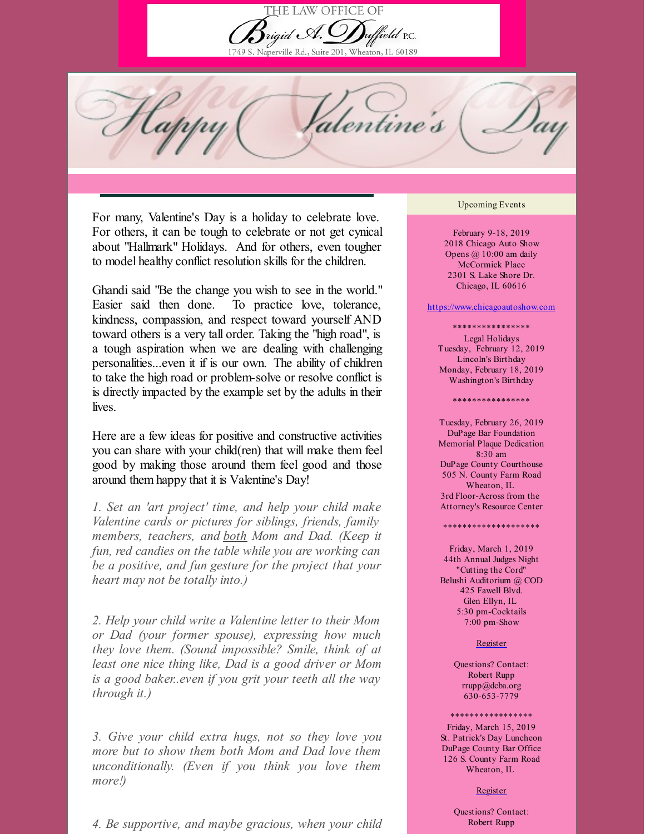

Naperville Rd., Suite 201, Wheaton, IL 60189

Happy 'entine's

For many, Valentine's Day is a holiday to celebrate love. For others, it can be tough to celebrate or not get cynical about "Hallmark" Holidays. And for others, even tougher to model healthy conflict resolution skills for the children.

Ghandi said "Be the change you wish to see in the world." Easier said then done. To practice love, tolerance, kindness, compassion, and respect toward yourself AND toward others is a very tall order. Taking the "high road", is a tough aspiration when we are dealing with challenging personalities...even it if is our own. The ability of children to take the high road or problem-solve or resolve conflict is is directly impacted by the example set by the adults in their lives.

Here are a few ideas for positive and constructive activities you can share with your child(ren) that will make them feel good by making those around them feel good and those around them happy that it is Valentine's Day!

*1. Set an 'art project' time, and help your child make Valentine cards or pictures for siblings, friends, family members, teachers, and both Mom and Dad. (Keep it fun, red candies on the table while you are working can be a positive, and fun gesture for the project that your heart may not be totally into.)*

*2. Help your child write a Valentine letter to their Mom or Dad (your former spouse), expressing how much they love them. (Sound impossible? Smile, think of at least one nice thing like, Dad is a good driver or Mom is a good baker..even if you grit your teeth all the way through it.)*

*3. Give your child extra hugs, not so they love you more but to show them both Mom and Dad love them unconditionally. (Even if you think you love them more!)*

*4. Be supportive, and maybe gracious, when your child*

## Upcoming Events

February 9-18, 2019 2018 Chicago Auto Show Opens @ 10:00 am daily McCormick Place 2301 S. Lake Shore Dr. Chicago, IL 60616

## <https://www.chicagoautoshow.com>

\*\*\*\*\*\*\*\*\*\*\*\*\*\*\*\* Legal Holidays Tuesday, February 12, 2019 Lincoln's Birthday Monday, February 18, 2019 Washington's Birthday

\*\*\*\*\*\*\*\*\*\*\*\*\*

Tuesday, February 26, 2019 DuPage Bar Foundation Memorial Plaque Dedication 8:30 am DuPage County Courthouse 505 N. County Farm Road Wheaton, IL 3rd Floor-Across from the Attorney's Resource Center

Friday, March 1, 2019 44th Annual Judges Night "Cutting the Cord" Belushi Auditorium @ COD 425 Fawell Blvd. Glen Ellyn, IL 5:30 pm-Cocktails 7:00 pm-Show

\*\*\*\*\*\*\*\*\*\*\*\*\*\*\*\*\*\*\*\*

[Register](https://www.dcba.org/events/EventDetails.aspx?id=1196548&group=)

Questions? Contact: Robert Rupp rrupp@dcba.org 630-653-7779

\*\*\*\*\*\*\*\*\*\*\*\*\*\*

Friday, March 15, 2019 St. Patrick's Day Luncheon DuPage County Bar Office 126 S. County Farm Road Wheaton, IL

[Register](https://www.dcba.org/events/EventDetails.aspx?id=1196548&group=)

Questions? Contact: Robert Rupp